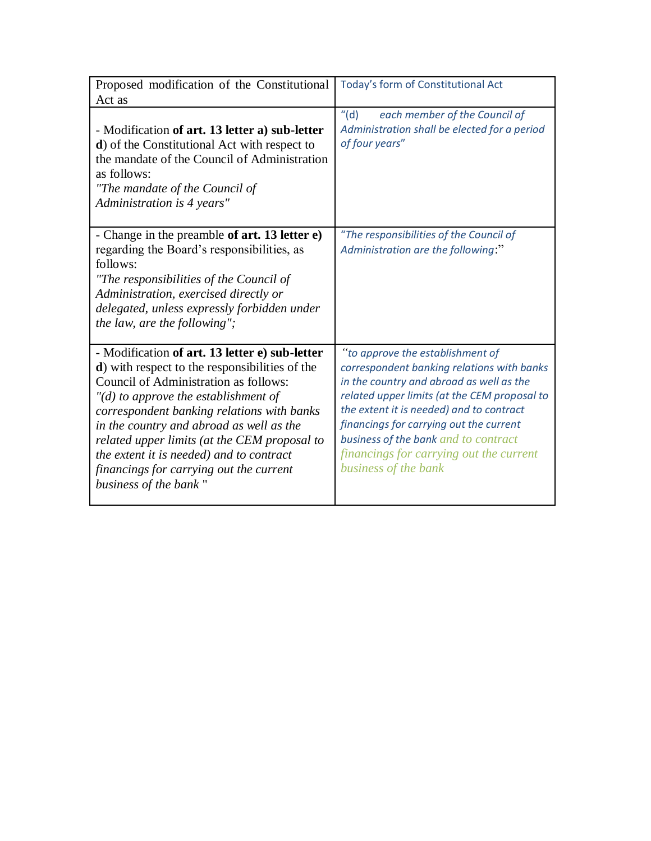| Proposed modification of the Constitutional                                                                                                                                                                                                                                                                                                                                                                                                                   | Today's form of Constitutional Act                                                                                                                                                                                                                                                                                                                                           |
|---------------------------------------------------------------------------------------------------------------------------------------------------------------------------------------------------------------------------------------------------------------------------------------------------------------------------------------------------------------------------------------------------------------------------------------------------------------|------------------------------------------------------------------------------------------------------------------------------------------------------------------------------------------------------------------------------------------------------------------------------------------------------------------------------------------------------------------------------|
| Act as                                                                                                                                                                                                                                                                                                                                                                                                                                                        |                                                                                                                                                                                                                                                                                                                                                                              |
| - Modification of art. 13 letter a) sub-letter<br>d) of the Constitutional Act with respect to<br>the mandate of the Council of Administration<br>as follows:<br>"The mandate of the Council of<br>Administration is 4 years"                                                                                                                                                                                                                                 | ''(d)<br>each member of the Council of<br>Administration shall be elected for a period<br>of four years"                                                                                                                                                                                                                                                                     |
| - Change in the preamble of art. 13 letter e)<br>regarding the Board's responsibilities, as<br>follows:<br>"The responsibilities of the Council of<br>Administration, exercised directly or<br>delegated, unless expressly forbidden under<br>the law, are the following";                                                                                                                                                                                    | "The responsibilities of the Council of<br>Administration are the following:"                                                                                                                                                                                                                                                                                                |
| - Modification of art. 13 letter e) sub-letter<br><b>d</b> ) with respect to the responsibilities of the<br><b>Council of Administration as follows:</b><br>$"$ (d) to approve the establishment of<br>correspondent banking relations with banks<br>in the country and abroad as well as the<br>related upper limits (at the CEM proposal to<br>the extent it is needed) and to contract<br>financings for carrying out the current<br>business of the bank" | "to approve the establishment of<br>correspondent banking relations with banks<br>in the country and abroad as well as the<br>related upper limits (at the CEM proposal to<br>the extent it is needed) and to contract<br>financings for carrying out the current<br>business of the bank and to contract<br>financings for carrying out the current<br>business of the bank |